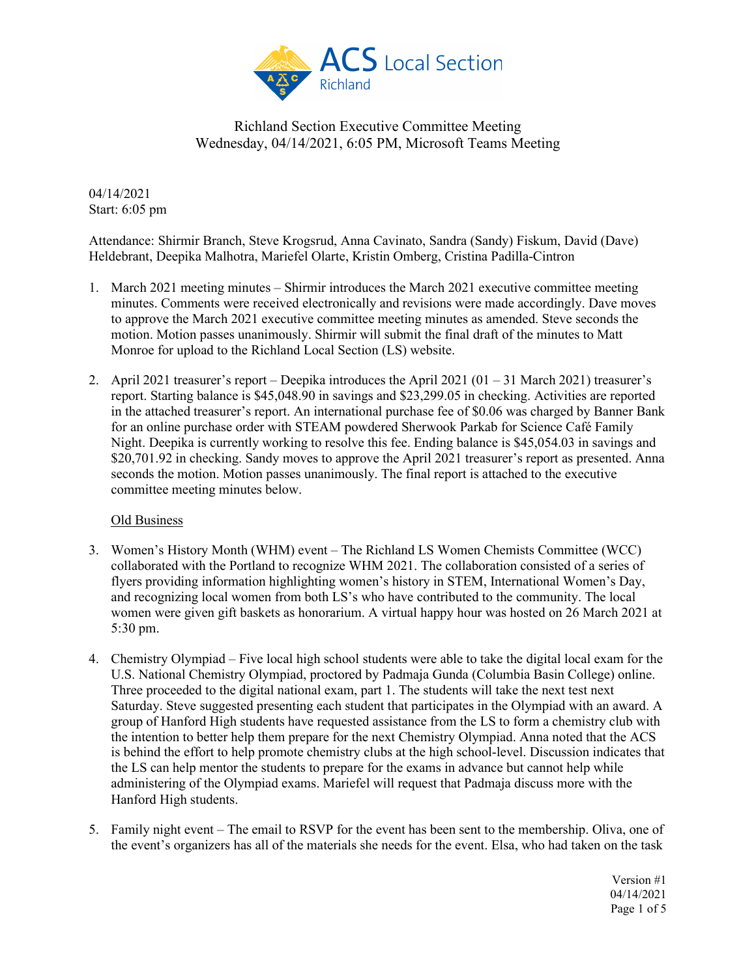

04/14/2021 Start: 6:05 pm

Attendance: Shirmir Branch, Steve Krogsrud, Anna Cavinato, Sandra (Sandy) Fiskum, David (Dave) Heldebrant, Deepika Malhotra, Mariefel Olarte, Kristin Omberg, Cristina Padilla-Cintron

- 1. March 2021 meeting minutes Shirmir introduces the March 2021 executive committee meeting minutes. Comments were received electronically and revisions were made accordingly. Dave moves to approve the March 2021 executive committee meeting minutes as amended. Steve seconds the motion. Motion passes unanimously. Shirmir will submit the final draft of the minutes to Matt Monroe for upload to the Richland Local Section (LS) website.
- 2. April 2021 treasurer's report Deepika introduces the April 2021 (01 31 March 2021) treasurer's report. Starting balance is \$45,048.90 in savings and \$23,299.05 in checking. Activities are reported in the attached treasurer's report. An international purchase fee of \$0.06 was charged by Banner Bank for an online purchase order with STEAM powdered Sherwook Parkab for Science Café Family Night. Deepika is currently working to resolve this fee. Ending balance is \$45,054.03 in savings and \$20,701.92 in checking. Sandy moves to approve the April 2021 treasurer's report as presented. Anna seconds the motion. Motion passes unanimously. The final report is attached to the executive committee meeting minutes below.

### Old Business

- 3. Women's History Month (WHM) event The Richland LS Women Chemists Committee (WCC) collaborated with the Portland to recognize WHM 2021. The collaboration consisted of a series of flyers providing information highlighting women's history in STEM, International Women's Day, and recognizing local women from both LS's who have contributed to the community. The local women were given gift baskets as honorarium. A virtual happy hour was hosted on 26 March 2021 at 5:30 pm.
- 4. Chemistry Olympiad Five local high school students were able to take the digital local exam for the U.S. National Chemistry Olympiad, proctored by Padmaja Gunda (Columbia Basin College) online. Three proceeded to the digital national exam, part 1. The students will take the next test next Saturday. Steve suggested presenting each student that participates in the Olympiad with an award. A group of Hanford High students have requested assistance from the LS to form a chemistry club with the intention to better help them prepare for the next Chemistry Olympiad. Anna noted that the ACS is behind the effort to help promote chemistry clubs at the high school-level. Discussion indicates that the LS can help mentor the students to prepare for the exams in advance but cannot help while administering of the Olympiad exams. Mariefel will request that Padmaja discuss more with the Hanford High students.
- 5. Family night event The email to RSVP for the event has been sent to the membership. Oliva, one of the event's organizers has all of the materials she needs for the event. Elsa, who had taken on the task

Version #1 04/14/2021 Page 1 of 5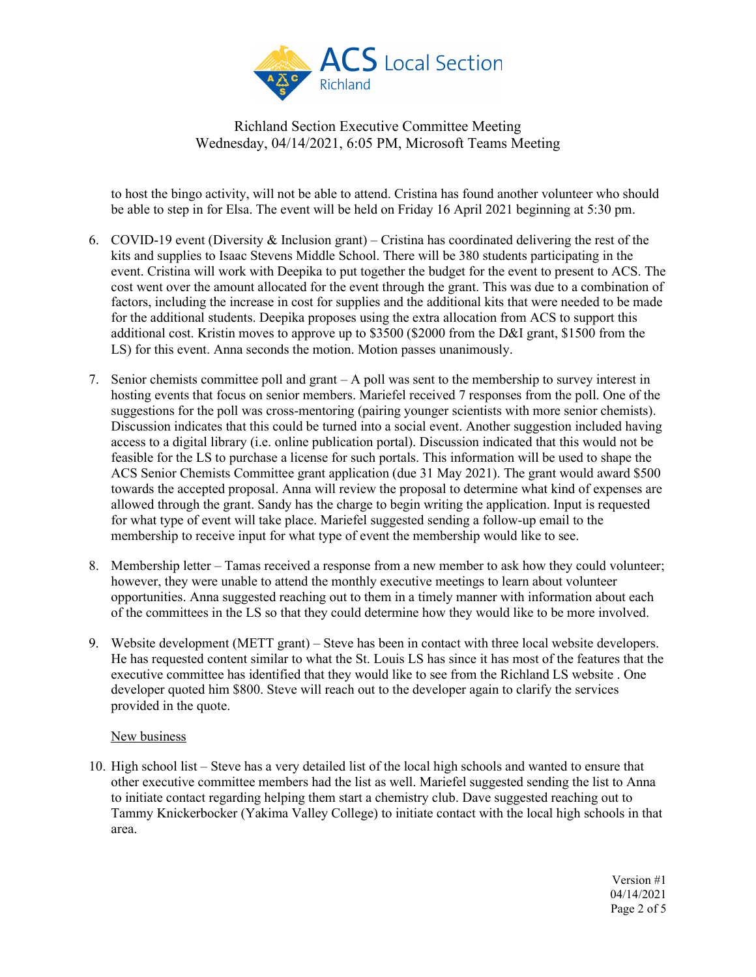

to host the bingo activity, will not be able to attend. Cristina has found another volunteer who should be able to step in for Elsa. The event will be held on Friday 16 April 2021 beginning at 5:30 pm.

- 6. COVID-19 event (Diversity & Inclusion grant) Cristina has coordinated delivering the rest of the kits and supplies to Isaac Stevens Middle School. There will be 380 students participating in the event. Cristina will work with Deepika to put together the budget for the event to present to ACS. The cost went over the amount allocated for the event through the grant. This was due to a combination of factors, including the increase in cost for supplies and the additional kits that were needed to be made for the additional students. Deepika proposes using the extra allocation from ACS to support this additional cost. Kristin moves to approve up to \$3500 (\$2000 from the D&I grant, \$1500 from the LS) for this event. Anna seconds the motion. Motion passes unanimously.
- 7. Senior chemists committee poll and grant A poll was sent to the membership to survey interest in hosting events that focus on senior members. Mariefel received 7 responses from the poll. One of the suggestions for the poll was cross-mentoring (pairing younger scientists with more senior chemists). Discussion indicates that this could be turned into a social event. Another suggestion included having access to a digital library (i.e. online publication portal). Discussion indicated that this would not be feasible for the LS to purchase a license for such portals. This information will be used to shape the ACS Senior Chemists Committee grant application (due 31 May 2021). The grant would award \$500 towards the accepted proposal. Anna will review the proposal to determine what kind of expenses are allowed through the grant. Sandy has the charge to begin writing the application. Input is requested for what type of event will take place. Mariefel suggested sending a follow-up email to the membership to receive input for what type of event the membership would like to see.
- 8. Membership letter Tamas received a response from a new member to ask how they could volunteer; however, they were unable to attend the monthly executive meetings to learn about volunteer opportunities. Anna suggested reaching out to them in a timely manner with information about each of the committees in the LS so that they could determine how they would like to be more involved.
- 9. Website development (METT grant) Steve has been in contact with three local website developers. He has requested content similar to what the St. Louis LS has since it has most of the features that the executive committee has identified that they would like to see from the Richland LS website . One developer quoted him \$800. Steve will reach out to the developer again to clarify the services provided in the quote.

### New business

10. High school list – Steve has a very detailed list of the local high schools and wanted to ensure that other executive committee members had the list as well. Mariefel suggested sending the list to Anna to initiate contact regarding helping them start a chemistry club. Dave suggested reaching out to Tammy Knickerbocker (Yakima Valley College) to initiate contact with the local high schools in that area.

> Version #1 04/14/2021 Page 2 of 5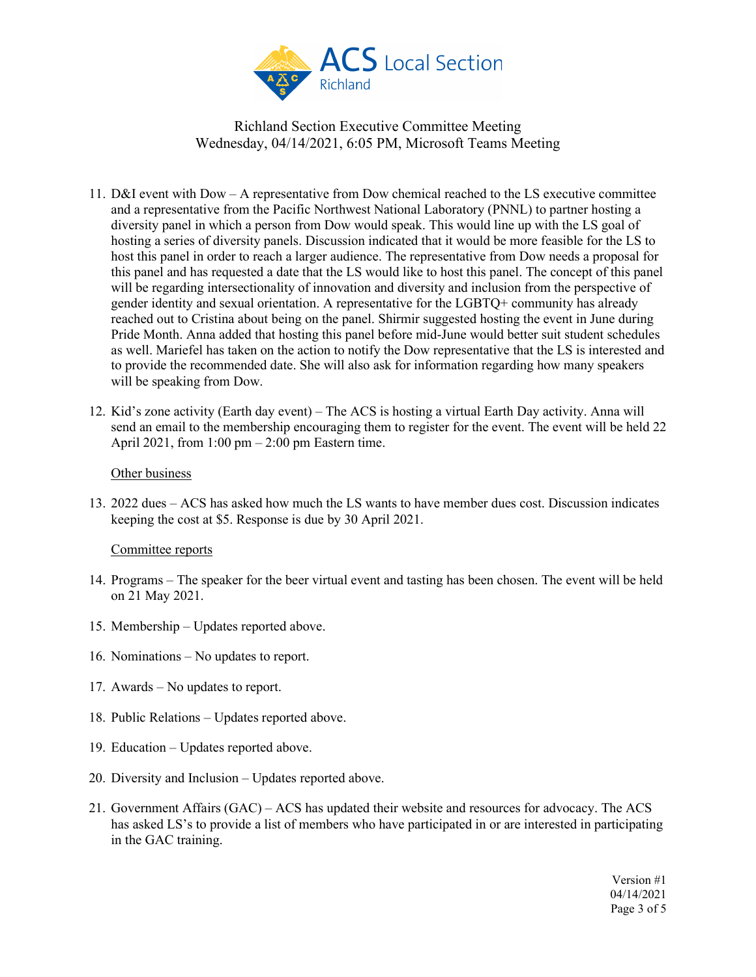

- 11. D&I event with Dow A representative from Dow chemical reached to the LS executive committee and a representative from the Pacific Northwest National Laboratory (PNNL) to partner hosting a diversity panel in which a person from Dow would speak. This would line up with the LS goal of hosting a series of diversity panels. Discussion indicated that it would be more feasible for the LS to host this panel in order to reach a larger audience. The representative from Dow needs a proposal for this panel and has requested a date that the LS would like to host this panel. The concept of this panel will be regarding intersectionality of innovation and diversity and inclusion from the perspective of gender identity and sexual orientation. A representative for the LGBTQ+ community has already reached out to Cristina about being on the panel. Shirmir suggested hosting the event in June during Pride Month. Anna added that hosting this panel before mid-June would better suit student schedules as well. Mariefel has taken on the action to notify the Dow representative that the LS is interested and to provide the recommended date. She will also ask for information regarding how many speakers will be speaking from Dow.
- 12. Kid's zone activity (Earth day event) The ACS is hosting a virtual Earth Day activity. Anna will send an email to the membership encouraging them to register for the event. The event will be held 22 April 2021, from  $1:00 \text{ pm} - 2:00 \text{ pm}$  Eastern time.

#### Other business

13. 2022 dues – ACS has asked how much the LS wants to have member dues cost. Discussion indicates keeping the cost at \$5. Response is due by 30 April 2021.

#### Committee reports

- 14. Programs The speaker for the beer virtual event and tasting has been chosen. The event will be held on 21 May 2021.
- 15. Membership Updates reported above.
- 16. Nominations No updates to report.
- 17. Awards No updates to report.
- 18. Public Relations Updates reported above.
- 19. Education Updates reported above.
- 20. Diversity and Inclusion Updates reported above.
- 21. Government Affairs (GAC) ACS has updated their website and resources for advocacy. The ACS has asked LS's to provide a list of members who have participated in or are interested in participating in the GAC training.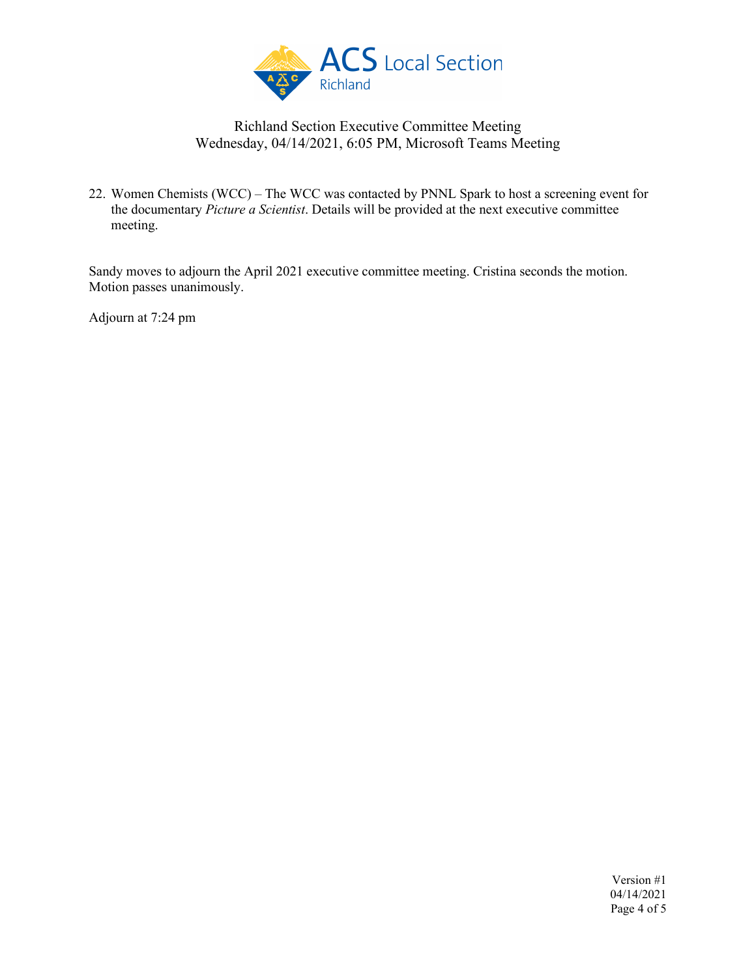

22. Women Chemists (WCC) – The WCC was contacted by PNNL Spark to host a screening event for the documentary *Picture a Scientist*. Details will be provided at the next executive committee meeting.

Sandy moves to adjourn the April 2021 executive committee meeting. Cristina seconds the motion. Motion passes unanimously.

Adjourn at 7:24 pm